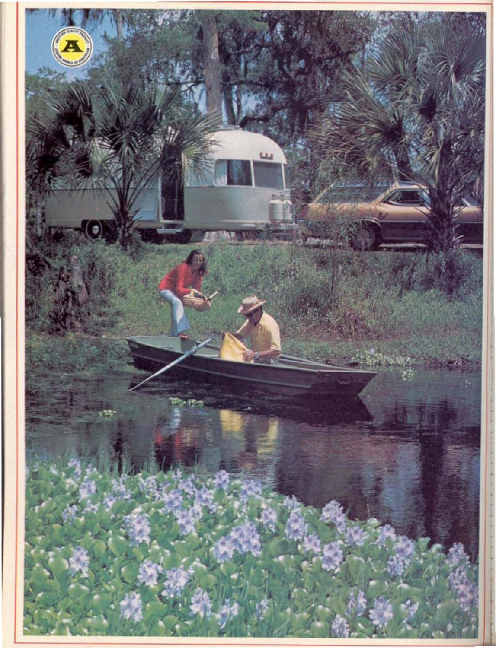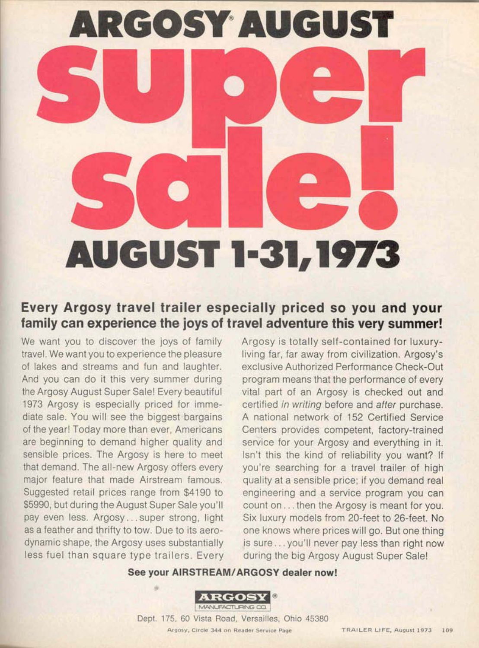## **ARGOSY·AUGUST** e **AUGUST 1-31,1973**

## **Every Argosy travel trailer especially priced so you and your family can experience the joys of travel adventure this very summer!**

We want you to discover the joys of family Argosy is totally self-contained for luxurytravel. We want you to experience the pleasure living far, far away from civilization. Argosy's of lakes and streams and fun and laughter. exclusive Authorized Performance Check-Oul And you can do it this very summer during program means that the performance of every the Argosy August Super Sale! Every beautiful vital part of an Argosy is checked out and 1973 Argosy is especially priced for imme-<br>certified in writing before and after purchase. diate sale. You will see the biggest bargains A national network of 152 Certified Service of the year! Today more than ever, Americans Centers provides competent, factory-trained are beginning to demand higher quality and service for your Argosy and everything in it. sensible prices. The Argosy is here to meet Isn't this the kind of reliability you want? If that demand. The all-new Argosy offers every you're searching for a travel trailer of high major feature that made Airstream famous. quality at a sensible price; if you demand real Suggested retail prices range from \$4190 to engineering and a service program you can \$5990, but during the August Super Sale you'll count on... then the Argosy is meant for you. pay even less. Argosy...super strong, light Six luxury models from 20-feet to 26-feet. No as a feather and thrifty to tow, Due to its aero- one knows where prices will go. But one thing dynamic shape, the Argosy uses substantially is sure...you'll never pay less than right now less fuel than square type trailers. Every during the big Argosy August Super Sale!

•

## **See your AIRSTREAMI ARGOSY** dealer **now!**



Dept. 175, 60 Vista Road, Versailles, Ohio 45380 Argosy, Circle 344 on Reader Service Page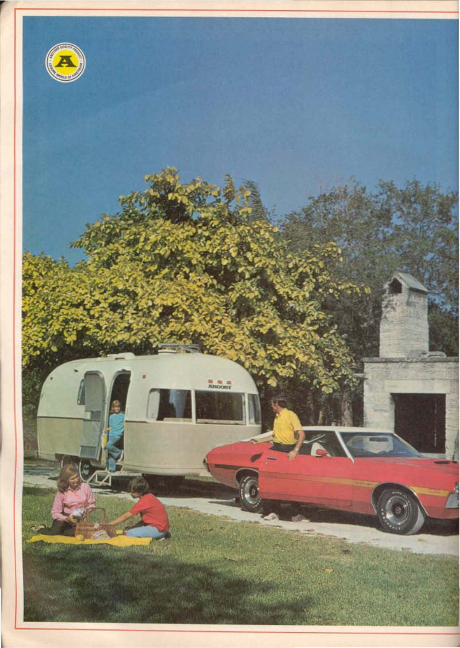